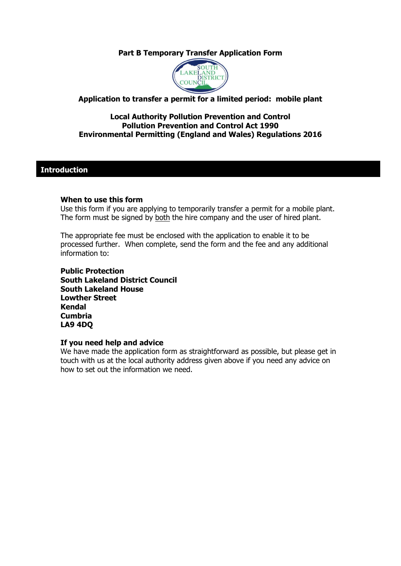## **Part B Temporary Transfer Application Form**



### **Application to transfer a permit for a limited period: mobile plant**

#### **Local Authority Pollution Prevention and Control Pollution Prevention and Control Act 1990 Environmental Permitting (England and Wales) Regulations 2016**

### **Introduction**

#### **When to use this form**

Use this form if you are applying to temporarily transfer a permit for a mobile plant. The form must be signed by both the hire company and the user of hired plant.

The appropriate fee must be enclosed with the application to enable it to be processed further. When complete, send the form and the fee and any additional information to:

**Public Protection South Lakeland District Council South Lakeland House Lowther Street Kendal Cumbria LA9 4DQ**

### **If you need help and advice**

We have made the application form as straightforward as possible, but please get in touch with us at the local authority address given above if you need any advice on how to set out the information we need.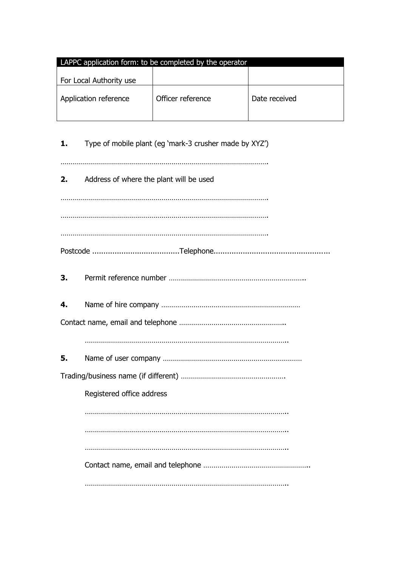| LAPPC application form: to be completed by the operator |                   |               |  |  |  |
|---------------------------------------------------------|-------------------|---------------|--|--|--|
| For Local Authority use                                 |                   |               |  |  |  |
| Application reference                                   | Officer reference | Date received |  |  |  |

| 1. | Type of mobile plant (eg 'mark-3 crusher made by XYZ') |
|----|--------------------------------------------------------|
| 2. | Address of where the plant will be used                |
|    |                                                        |
|    |                                                        |
|    |                                                        |
| З. |                                                        |
| 4. |                                                        |
|    |                                                        |
|    |                                                        |
| 5. |                                                        |
|    |                                                        |
|    | Registered office address                              |
|    |                                                        |
|    |                                                        |
|    |                                                        |
|    |                                                        |
|    |                                                        |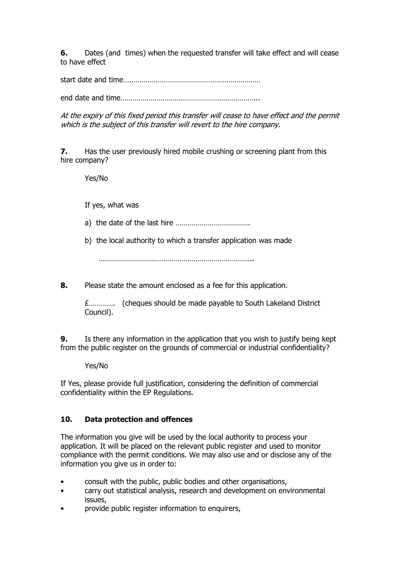**6.** Dates (and times) when the requested transfer will take effect and will cease to have effect

start date and time…..………………………………………………………

end date and time…………………………………………………………...

At the expiry of this fixed period this transfer will cease to have effect and the permit which is the subject of this transfer will revert to the hire company.

**7.** Has the user previously hired mobile crushing or screening plant from this hire company?

Yes/No

If yes, what was

- a) the date of the last hire ……………………………….
- b) the local authority to which a transfer application was made

…………………………………………………………………..

**8.** Please state the amount enclosed as a fee for this application.

£…………. (cheques should be made payable to South Lakeland District Council).

**9.** Is there any information in the application that you wish to justify being kept from the public register on the grounds of commercial or industrial confidentiality?

Yes/No

If Yes, please provide full justification, considering the definition of commercial confidentiality within the EP Regulations.

## **10. Data protection and offences**

The information you give will be used by the local authority to process your application. It will be placed on the relevant public register and used to monitor compliance with the permit conditions. We may also use and or disclose any of the information you give us in order to:

- consult with the public, public bodies and other organisations,
- carry out statistical analysis, research and development on environmental issues,
- provide public register information to enquirers,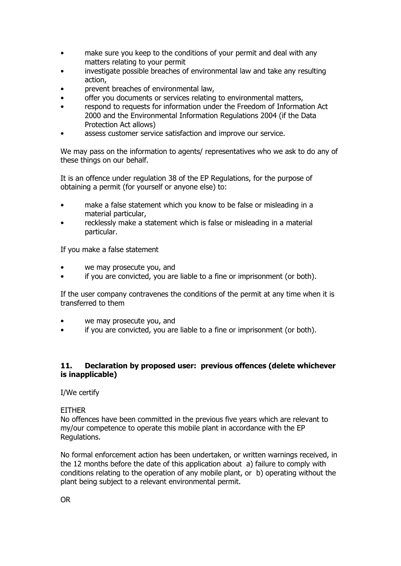- make sure you keep to the conditions of your permit and deal with any matters relating to your permit
- investigate possible breaches of environmental law and take any resulting action,
- prevent breaches of environmental law,
- offer you documents or services relating to environmental matters,
- respond to requests for information under the Freedom of Information Act 2000 and the Environmental Information Regulations 2004 (if the Data Protection Act allows)
- assess customer service satisfaction and improve our service.

We may pass on the information to agents/ representatives who we ask to do any of these things on our behalf.

It is an offence under regulation 38 of the EP Regulations, for the purpose of obtaining a permit (for yourself or anyone else) to:

- make a false statement which you know to be false or misleading in a material particular,
- recklessly make a statement which is false or misleading in a material particular.

If you make a false statement

- we may prosecute you, and
- if you are convicted, you are liable to a fine or imprisonment (or both).

If the user company contravenes the conditions of the permit at any time when it is transferred to them

- we may prosecute you, and
- if you are convicted, you are liable to a fine or imprisonment (or both).

### **11. Declaration by proposed user: previous offences (delete whichever is inapplicable)**

I/We certify

### **FITHFR**

No offences have been committed in the previous five years which are relevant to my/our competence to operate this mobile plant in accordance with the EP Regulations.

No formal enforcement action has been undertaken, or written warnings received, in the 12 months before the date of this application about a) failure to comply with conditions relating to the operation of any mobile plant, or b) operating without the plant being subject to a relevant environmental permit.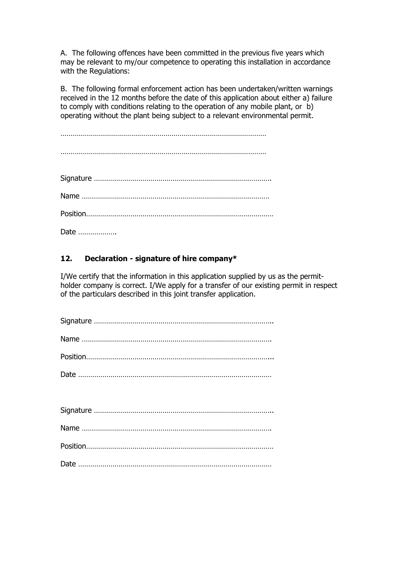A. The following offences have been committed in the previous five years which may be relevant to my/our competence to operating this installation in accordance with the Regulations:

B. The following formal enforcement action has been undertaken/written warnings received in the 12 months before the date of this application about either a) failure to comply with conditions relating to the operation of any mobile plant, or b) operating without the plant being subject to a relevant environmental permit.

…………………………………………………………………………………………

…………………………………………………………………………………………

| Date |
|------|

# **12. Declaration - signature of hire company\***

I/We certify that the information in this application supplied by us as the permitholder company is correct. I/We apply for a transfer of our existing permit in respect of the particulars described in this joint transfer application.